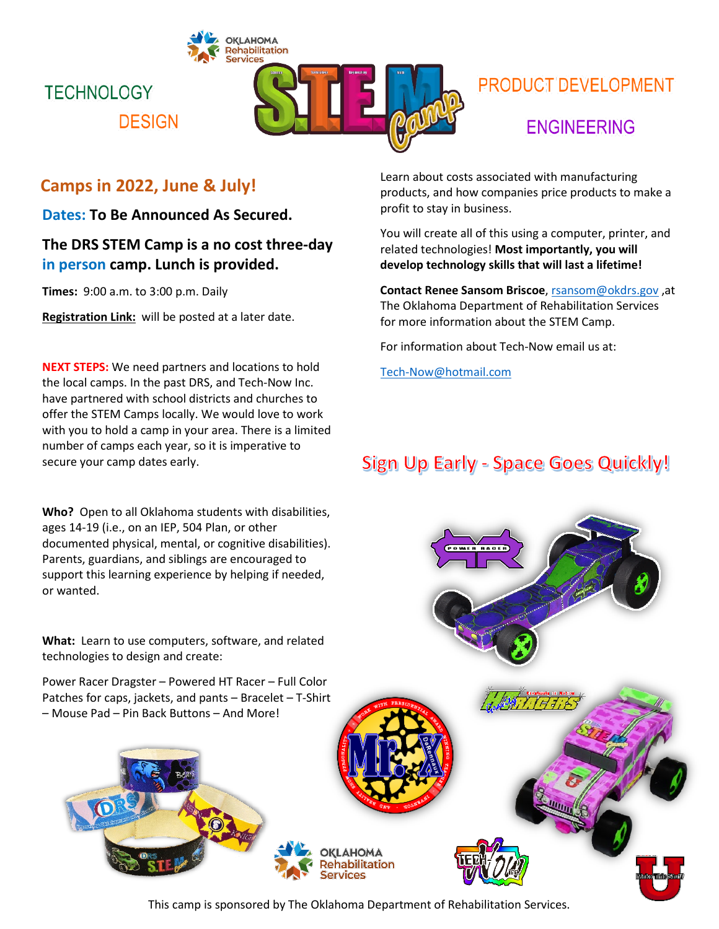

# **PRODUCT DEVELOPMENT**

### **ENGINEERING**

### **Camps in 2022, June & July!**

**DESIGN** 

**TECHNOLOGY** 

**Dates: To Be Announced As Secured.**

### **The DRS STEM Camp is a no cost three-day in person camp. Lunch is provided.**

**Times:** 9:00 a.m. to 3:00 p.m. Daily

**Registration Link:** will be posted at a later date.

**NEXT STEPS:** We need partners and locations to hold the local camps. In the past DRS, and Tech-Now Inc. have partnered with school districts and churches to offer the STEM Camps locally. We would love to work with you to hold a camp in your area. There is a limited number of camps each year, so it is imperative to secure your camp dates early.

**Who?** Open to all Oklahoma students with disabilities, ages 14-19 (i.e., on an IEP, 504 Plan, or other documented physical, mental, or cognitive disabilities). Parents, guardians, and siblings are encouraged to support this learning experience by helping if needed, or wanted.

**What:** Learn to use computers, software, and related technologies to design and create:

Power Racer Dragster – Powered HT Racer – Full Color Patches for caps, jackets, and pants – Bracelet – T-Shirt – Mouse Pad – Pin Back Buttons – And More!

Learn about costs associated with manufacturing products, and how companies price products to make a profit to stay in business.

You will create all of this using a computer, printer, and related technologies! **Most importantly, you will develop technology skills that will last a lifetime!**

**Contact Renee Sansom Briscoe**, [rsansom@okdrs.gov](mailto:rsansom@okdrs.gov) ,at The Oklahoma Department of Rehabilitation Services for more information about the STEM Camp.

For information about Tech-Now email us at:

[Tech-Now@hotmail.com](mailto:Tech-Now@hotmail.com)

## Sign Up Early - Space Goes Quickly!



This camp is sponsored by The Oklahoma Department of Rehabilitation Services.